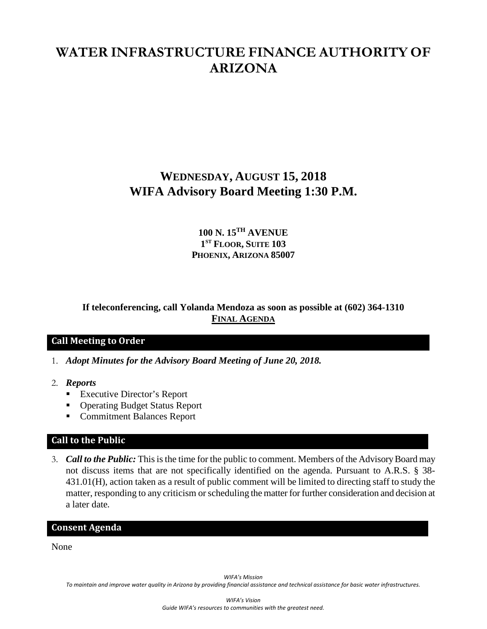# **WATER INFRASTRUCTURE FINANCE AUTHORITY OF ARIZONA**

## **WEDNESDAY, AUGUST 15, 2018 WIFA Advisory Board Meeting 1:30 P.M.**

## **100 N. 15TH AVENUE 1ST FLOOR, SUITE 103 PHOENIX, ARIZONA 85007**

## **If teleconferencing, call Yolanda Mendoza as soon as possible at (602) 364-1310 FINAL AGENDA**

## **Call Meeting to Order**

- 1. *Adopt Minutes for the Advisory Board Meeting of June 20, 2018.*
- 2. *Reports*
	- **Executive Director's Report**
	- Operating Budget Status Report
	- Commitment Balances Report

#### **Call to the Public**

3. *Call to the Public:* This is the time for the public to comment. Members of the Advisory Board may not discuss items that are not specifically identified on the agenda. Pursuant to A.R.S. § 38- 431.01(H), action taken as a result of public comment will be limited to directing staff to study the matter, responding to any criticism or scheduling the matter for further consideration and decision at a later date.

#### **Consent Agenda**

None

*WIFA's Mission*

*To maintain and improve water quality in Arizona by providing financial assistance and technical assistance for basic water infrastructures.*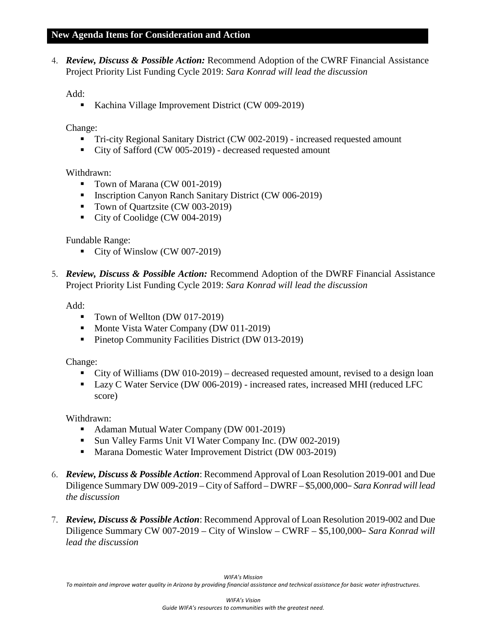#### **New Agenda Items for Consideration and Action**

4. *Review, Discuss & Possible Action:* Recommend Adoption of the CWRF Financial Assistance Project Priority List Funding Cycle 2019: *Sara Konrad will lead the discussion*

Add:

Kachina Village Improvement District (CW 009-2019)

Change:

- Tri-city Regional Sanitary District (CW 002-2019) increased requested amount
- City of Safford (CW 005-2019) decreased requested amount

#### Withdrawn:

- Town of Marana (CW 001-2019)
- Inscription Canyon Ranch Sanitary District (CW 006-2019)
- Town of Quartzsite (CW 003-2019)
- City of Coolidge (CW 004-2019)

#### Fundable Range:

- City of Winslow (CW 007-2019)
- 5. *Review, Discuss & Possible Action:* Recommend Adoption of the DWRF Financial Assistance Project Priority List Funding Cycle 2019: *Sara Konrad will lead the discussion*

Add:

- Town of Wellton (DW 017-2019)
- Monte Vista Water Company (DW 011-2019)
- **Pinetop Community Facilities District (DW 013-2019)**

#### Change:

- City of Williams (DW 010-2019) decreased requested amount, revised to a design loan
- Lazy C Water Service (DW 006-2019) increased rates, increased MHI (reduced LFC score)

Withdrawn:

- Adaman Mutual Water Company (DW 001-2019)
- Sun Valley Farms Unit VI Water Company Inc. (DW 002-2019)
- **Marana Domestic Water Improvement District (DW 003-2019)**
- 6. *Review, Discuss & Possible Action*: Recommend Approval of Loan Resolution 2019-001 and Due Diligence Summary DW 009-2019 – City of Safford – DWRF – \$5,000,000– *Sara Konrad will lead the discussion*
- 7. *Review, Discuss & Possible Action*: Recommend Approval of Loan Resolution 2019-002 and Due Diligence Summary CW 007-2019 – City of Winslow – CWRF – \$5,100,000– *Sara Konrad will lead the discussion*

*To maintain and improve water quality in Arizona by providing financial assistance and technical assistance for basic water infrastructures.*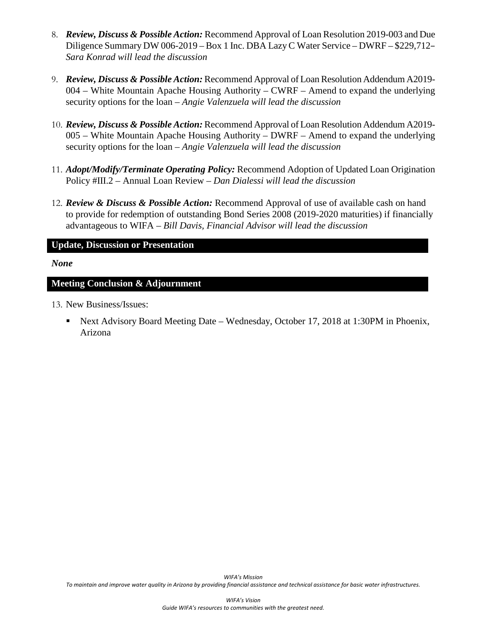- 8. *Review, Discuss & Possible Action:* Recommend Approval of Loan Resolution 2019-003 and Due Diligence Summary DW 006-2019 – Box 1 Inc. DBA Lazy C Water Service – DWRF – \$229,712– *Sara Konrad will lead the discussion*
- 9. *Review, Discuss & Possible Action:* Recommend Approval of Loan Resolution Addendum A2019- 004 – White Mountain Apache Housing Authority – CWRF – Amend to expand the underlying security options for the loan – *Angie Valenzuela will lead the discussion*
- 10. *Review, Discuss & Possible Action:* Recommend Approval of Loan Resolution Addendum A2019- 005 – White Mountain Apache Housing Authority – DWRF – Amend to expand the underlying security options for the loan – *Angie Valenzuela will lead the discussion*
- 11. *Adopt/Modify/Terminate Operating Policy:* Recommend Adoption of Updated Loan Origination Policy #III.2 – Annual Loan Review *– Dan Dialessi will lead the discussion*
- 12. *Review & Discuss & Possible Action:* Recommend Approval of use of available cash on hand to provide for redemption of outstanding Bond Series 2008 (2019-2020 maturities) if financially advantageous to WIFA – *Bill Davis, Financial Advisor will lead the discussion*

## **Update, Discussion or Presentation**

#### *None*

#### **Meeting Conclusion & Adjournment**

- 13. New Business/Issues:
	- Next Advisory Board Meeting Date Wednesday, October 17, 2018 at 1:30PM in Phoenix, Arizona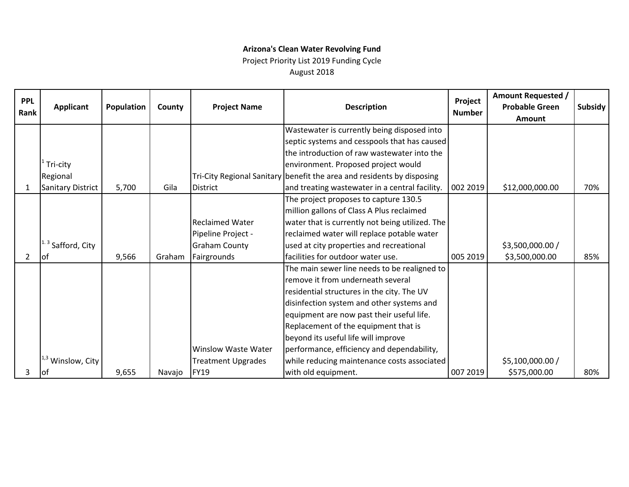## **Arizona's Clean Water Revolving Fund**

Project Priority List 2019 Funding Cycle

August 2018

| <b>PPL</b><br>Rank | <b>Applicant</b>         | Population | County | <b>Project Name</b>        | <b>Description</b>                                                                | Project<br><b>Number</b> | <b>Amount Requested /</b><br><b>Probable Green</b><br>Amount | Subsidy |
|--------------------|--------------------------|------------|--------|----------------------------|-----------------------------------------------------------------------------------|--------------------------|--------------------------------------------------------------|---------|
|                    |                          |            |        |                            | Wastewater is currently being disposed into                                       |                          |                                                              |         |
|                    |                          |            |        |                            | septic systems and cesspools that has caused                                      |                          |                                                              |         |
|                    |                          |            |        |                            | the introduction of raw wastewater into the                                       |                          |                                                              |         |
|                    | Tri-city                 |            |        |                            | environment. Proposed project would                                               |                          |                                                              |         |
|                    | Regional                 |            |        |                            | Tri-City Regional Sanitary benefit the area and residents by disposing            |                          |                                                              |         |
| 1                  | <b>Sanitary District</b> | 5,700      | Gila   | <b>District</b>            | and treating wastewater in a central facility.                                    | 002 2019                 | \$12,000,000.00                                              | 70%     |
|                    |                          |            |        |                            | The project proposes to capture 130.5                                             |                          |                                                              |         |
|                    |                          |            |        |                            | million gallons of Class A Plus reclaimed                                         |                          |                                                              |         |
|                    |                          |            |        | <b>Reclaimed Water</b>     | water that is currently not being utilized. The                                   |                          |                                                              |         |
|                    |                          |            |        | Pipeline Project -         | reclaimed water will replace potable water                                        |                          |                                                              |         |
|                    | $1.3$ Safford, City      |            |        | <b>Graham County</b>       | used at city properties and recreational                                          |                          | \$3,500,000.00 /                                             |         |
| 2                  | lof                      | 9,566      | Graham | Fairgrounds                | facilities for outdoor water use.                                                 | 005 2019                 | \$3,500,000.00                                               | 85%     |
|                    |                          |            |        |                            | The main sewer line needs to be realigned to<br>remove it from underneath several |                          |                                                              |         |
|                    |                          |            |        |                            | residential structures in the city. The UV                                        |                          |                                                              |         |
|                    |                          |            |        |                            | disinfection system and other systems and                                         |                          |                                                              |         |
|                    |                          |            |        |                            | equipment are now past their useful life.                                         |                          |                                                              |         |
|                    |                          |            |        |                            | Replacement of the equipment that is                                              |                          |                                                              |         |
|                    |                          |            |        |                            | beyond its useful life will improve                                               |                          |                                                              |         |
|                    |                          |            |        | <b>Winslow Waste Water</b> | performance, efficiency and dependability,                                        |                          |                                                              |         |
|                    | Winslow, City            |            |        | <b>Treatment Upgrades</b>  | while reducing maintenance costs associated                                       |                          | \$5,100,000.00 /                                             |         |
| 3                  | Iot                      | 9,655      | Navajo | <b>FY19</b>                | with old equipment.                                                               | 007 2019                 | \$575,000.00                                                 | 80%     |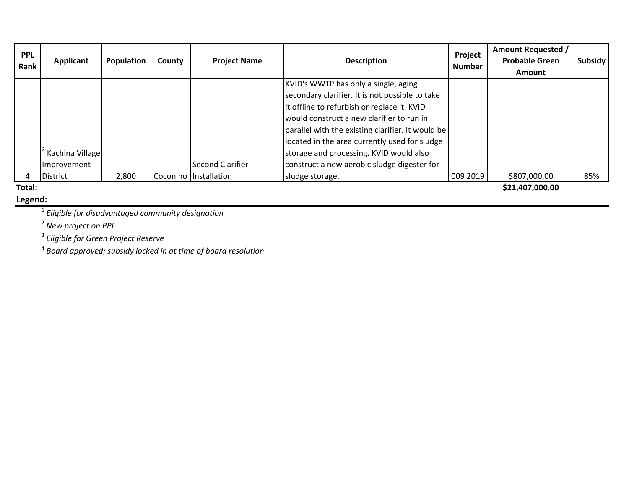| <b>PPL</b><br>Rank | Applicant       | Population | County | <b>Project Name</b>   | Project<br><b>Description</b><br><b>Number</b>    |          | <b>Amount Requested /</b><br><b>Probable Green</b> | <b>Subsidy</b> |
|--------------------|-----------------|------------|--------|-----------------------|---------------------------------------------------|----------|----------------------------------------------------|----------------|
|                    |                 |            |        |                       |                                                   |          | <b>Amount</b>                                      |                |
|                    |                 |            |        |                       | KVID's WWTP has only a single, aging              |          |                                                    |                |
|                    |                 |            |        |                       | secondary clarifier. It is not possible to take   |          |                                                    |                |
|                    |                 |            |        |                       | it offline to refurbish or replace it. KVID       |          |                                                    |                |
|                    |                 |            |        |                       | would construct a new clarifier to run in         |          |                                                    |                |
|                    |                 |            |        |                       | parallel with the existing clarifier. It would be |          |                                                    |                |
|                    |                 |            |        |                       | located in the area currently used for sludge     |          |                                                    |                |
|                    | Kachina Village |            |        |                       | storage and processing. KVID would also           |          |                                                    |                |
|                    | Improvement     |            |        | Second Clarifier      | construct a new aerobic sludge digester for       |          |                                                    |                |
|                    | District        | 2,800      |        | Coconino Installation | sludge storage.                                   | 009 2019 | \$807,000.00                                       | 85%            |
| Total:             |                 |            |        |                       |                                                   |          | \$21,407,000.00                                    |                |

**Total:**

**Legend:**

1 *Eligible for disadvantaged community designation*

2 *New project on PPL*

3 *Eligible for Green Project Reserve*

4 *Board approved; subsidy locked in at time of board resolution*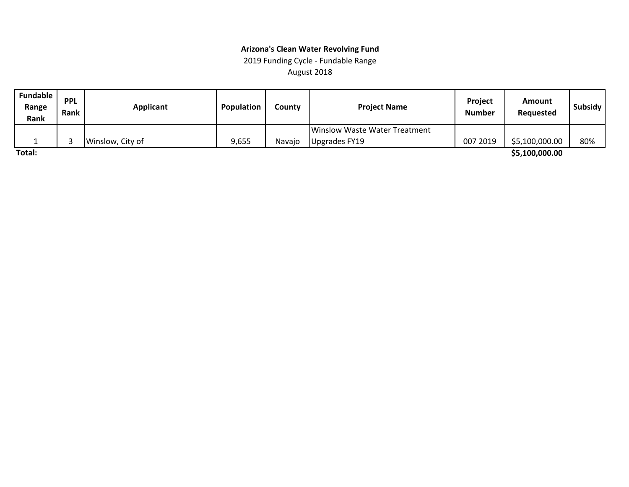## August 2018 **Arizona's Clean Water Revolving Fund** 2019 Funding Cycle ‐ Fundable Range

| Fundable<br>Range<br>Rank | <b>PPL</b><br><b>Rank</b> | <b>Applicant</b> | Population | Countv | <b>Project Name</b>           | Project<br><b>Number</b> | Amount<br>Requested | Subsidy |
|---------------------------|---------------------------|------------------|------------|--------|-------------------------------|--------------------------|---------------------|---------|
|                           |                           |                  |            |        | Winslow Waste Water Treatment |                          |                     |         |
|                           |                           | Winslow, City of | 9,655      | Navaio | IUpgrades FY19                | 007 2019                 | \$5,100,000.00      | 80%     |
| Total:                    |                           |                  |            |        |                               |                          | \$5,100,000.00      |         |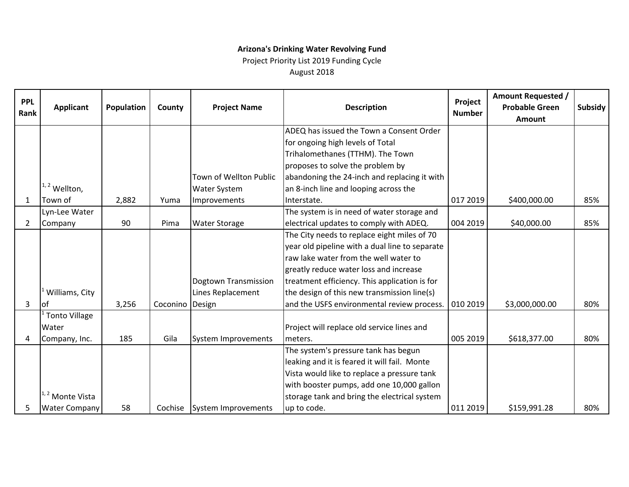## **Arizona's Drinking Water Revolving Fund**

Project Priority List 2019 Funding Cycle August 2018

| <b>PPL</b><br>Rank | <b>Applicant</b>           | Population | County          | <b>Project Name</b>         | Project<br><b>Description</b><br><b>Number</b> |          | <b>Amount Requested /</b><br><b>Probable Green</b><br><b>Amount</b> | Subsidy |
|--------------------|----------------------------|------------|-----------------|-----------------------------|------------------------------------------------|----------|---------------------------------------------------------------------|---------|
|                    |                            |            |                 |                             | ADEQ has issued the Town a Consent Order       |          |                                                                     |         |
|                    |                            |            |                 |                             | for ongoing high levels of Total               |          |                                                                     |         |
|                    |                            |            |                 |                             | Trihalomethanes (TTHM). The Town               |          |                                                                     |         |
|                    |                            |            |                 |                             | proposes to solve the problem by               |          |                                                                     |         |
|                    |                            |            |                 | Town of Wellton Public      | abandoning the 24-inch and replacing it with   |          |                                                                     |         |
|                    | $1, 2$ Wellton,            |            |                 | <b>Water System</b>         | an 8-inch line and looping across the          |          |                                                                     |         |
| 1                  | Town of                    | 2,882      | Yuma            | Improvements                | Interstate.                                    | 017 2019 | \$400,000.00                                                        | 85%     |
|                    | Lyn-Lee Water              |            |                 |                             | The system is in need of water storage and     |          |                                                                     |         |
| $\overline{2}$     | Company                    | 90         | Pima            | <b>Water Storage</b>        | electrical updates to comply with ADEQ.        | 004 2019 | \$40,000.00                                                         | 85%     |
|                    |                            |            |                 |                             | The City needs to replace eight miles of 70    |          |                                                                     |         |
|                    |                            |            |                 |                             | year old pipeline with a dual line to separate |          |                                                                     |         |
|                    |                            |            |                 |                             | raw lake water from the well water to          |          |                                                                     |         |
|                    |                            |            |                 |                             | greatly reduce water loss and increase         |          |                                                                     |         |
|                    |                            |            |                 | Dogtown Transmission        | treatment efficiency. This application is for  |          |                                                                     |         |
|                    | Williams, City             |            |                 | Lines Replacement           | the design of this new transmission line(s)    |          |                                                                     |         |
| 3                  | lof                        | 3,256      | Coconino Design |                             | and the USFS environmental review process.     | 010 2019 | \$3,000,000.00                                                      | 80%     |
|                    | <b>Tonto Village</b>       |            |                 |                             |                                                |          |                                                                     |         |
|                    | Water                      |            |                 |                             | Project will replace old service lines and     |          |                                                                     |         |
| 4                  | Company, Inc.              | 185        | Gila            | System Improvements         | meters.                                        | 005 2019 | \$618,377.00                                                        | 80%     |
|                    |                            |            |                 |                             | The system's pressure tank has begun           |          |                                                                     |         |
|                    |                            |            |                 |                             | leaking and it is feared it will fail. Monte   |          |                                                                     |         |
|                    |                            |            |                 |                             | Vista would like to replace a pressure tank    |          |                                                                     |         |
|                    |                            |            |                 |                             | with booster pumps, add one 10,000 gallon      |          |                                                                     |         |
|                    | <sup>1,2</sup> Monte Vista |            |                 |                             | storage tank and bring the electrical system   |          |                                                                     |         |
| 5                  | <b>Water Company</b>       | 58         |                 | Cochise System Improvements | up to code.                                    | 011 2019 | \$159,991.28                                                        | 80%     |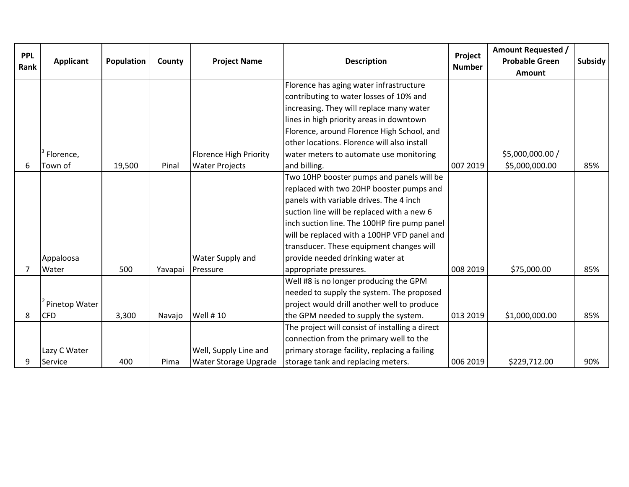| <b>PPL</b><br>Rank | <b>Applicant</b> | Population | County  | <b>Project Name</b>           | <b>Description</b>                              | <b>Amount Requested /</b><br>Project<br><b>Probable Green</b><br><b>Number</b><br><b>Amount</b> |                  | Subsidy |
|--------------------|------------------|------------|---------|-------------------------------|-------------------------------------------------|-------------------------------------------------------------------------------------------------|------------------|---------|
|                    |                  |            |         |                               | Florence has aging water infrastructure         |                                                                                                 |                  |         |
|                    |                  |            |         |                               | contributing to water losses of 10% and         |                                                                                                 |                  |         |
|                    |                  |            |         |                               | increasing. They will replace many water        |                                                                                                 |                  |         |
|                    |                  |            |         |                               | lines in high priority areas in downtown        |                                                                                                 |                  |         |
|                    |                  |            |         |                               | Florence, around Florence High School, and      |                                                                                                 |                  |         |
|                    |                  |            |         |                               | other locations. Florence will also install     |                                                                                                 |                  |         |
|                    | Florence,        |            |         | <b>Florence High Priority</b> | water meters to automate use monitoring         |                                                                                                 | \$5,000,000.00 / |         |
| 6                  | Town of          | 19,500     | Pinal   | <b>Water Projects</b>         | and billing.                                    | 007 2019                                                                                        | \$5,000,000.00   | 85%     |
|                    |                  |            |         |                               | Two 10HP booster pumps and panels will be       |                                                                                                 |                  |         |
|                    |                  |            |         |                               | replaced with two 20HP booster pumps and        |                                                                                                 |                  |         |
|                    |                  |            |         |                               | panels with variable drives. The 4 inch         |                                                                                                 |                  |         |
|                    |                  |            |         |                               | suction line will be replaced with a new 6      |                                                                                                 |                  |         |
|                    |                  |            |         |                               | inch suction line. The 100HP fire pump panel    |                                                                                                 |                  |         |
|                    |                  |            |         |                               | will be replaced with a 100HP VFD panel and     |                                                                                                 |                  |         |
|                    |                  |            |         |                               | transducer. These equipment changes will        |                                                                                                 |                  |         |
|                    | Appaloosa        |            |         | Water Supply and              | provide needed drinking water at                |                                                                                                 |                  |         |
| 7                  | Water            | 500        | Yavapai | Pressure                      | appropriate pressures.                          | 008 2019                                                                                        | \$75,000.00      | 85%     |
|                    |                  |            |         |                               | Well #8 is no longer producing the GPM          |                                                                                                 |                  |         |
|                    |                  |            |         |                               | needed to supply the system. The proposed       |                                                                                                 |                  |         |
|                    | Pinetop Water    |            |         |                               | project would drill another well to produce     |                                                                                                 |                  |         |
| 8                  | <b>CFD</b>       | 3,300      | Navajo  | <b>Well #10</b>               | the GPM needed to supply the system.            | 013 2019                                                                                        | \$1,000,000.00   | 85%     |
|                    |                  |            |         |                               | The project will consist of installing a direct |                                                                                                 |                  |         |
|                    |                  |            |         |                               | connection from the primary well to the         |                                                                                                 |                  |         |
|                    | Lazy C Water     |            |         | Well, Supply Line and         | primary storage facility, replacing a failing   |                                                                                                 |                  |         |
| 9                  | Service          | 400        | Pima    | Water Storage Upgrade         | storage tank and replacing meters.              | 006 2019                                                                                        | \$229,712.00     | 90%     |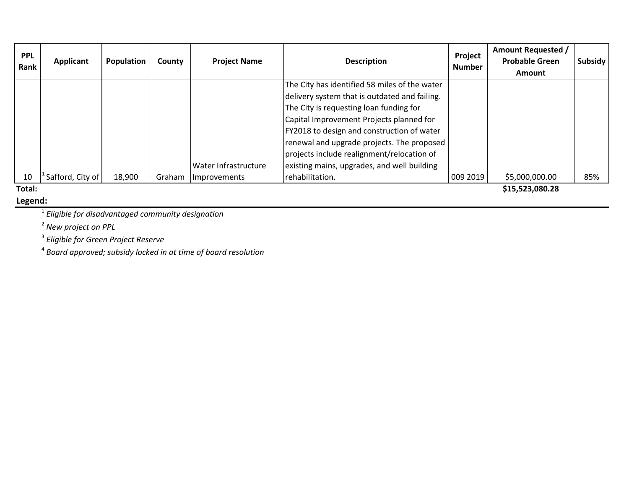| <b>PPL</b><br>Rank | <b>Applicant</b> | Population | County | <b>Project Name</b>  | <b>Description</b>                            | Project<br><b>Number</b> | <b>Amount Requested /</b><br><b>Probable Green</b><br><b>Amount</b> | Subsidy |
|--------------------|------------------|------------|--------|----------------------|-----------------------------------------------|--------------------------|---------------------------------------------------------------------|---------|
|                    |                  |            |        |                      | The City has identified 58 miles of the water |                          |                                                                     |         |
|                    |                  |            |        |                      | delivery system that is outdated and failing. |                          |                                                                     |         |
|                    |                  |            |        |                      | The City is requesting loan funding for       |                          |                                                                     |         |
|                    |                  |            |        |                      | Capital Improvement Projects planned for      |                          |                                                                     |         |
|                    |                  |            |        |                      | FY2018 to design and construction of water    |                          |                                                                     |         |
|                    |                  |            |        |                      | renewal and upgrade projects. The proposed    |                          |                                                                     |         |
|                    |                  |            |        |                      | projects include realignment/relocation of    |                          |                                                                     |         |
|                    |                  |            |        | Water Infrastructure | existing mains, upgrades, and well building   |                          |                                                                     |         |
| 10                 | Safford, City of | 18,900     | Graham | Improvements         | rehabilitation.                               | 009 2019                 | \$5,000,000.00                                                      | 85%     |
| Total:             |                  |            |        |                      |                                               |                          | \$15,523,080.28                                                     |         |

**Total:**

## **Legend:**

1 *Eligible for disadvantaged community designation*

2 *New project on PPL*

3 *Eligible for Green Project Reserve*

4 *Board approved; subsidy locked in at time of board resolution*